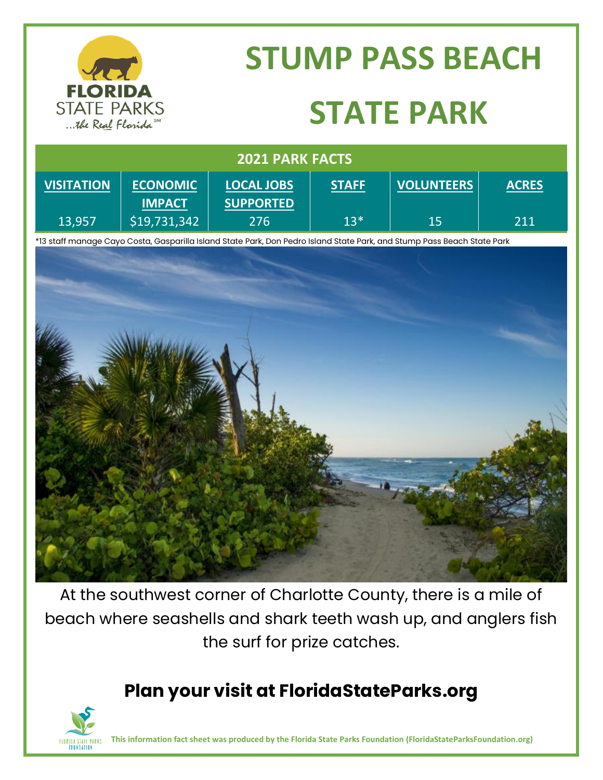

# **STUMP PASS BEACH STATE PARK**

| <b>2021 PARK FACTS</b> |                 |                   |              |                   |              |
|------------------------|-----------------|-------------------|--------------|-------------------|--------------|
| <b>VISITATION</b>      | <b>ECONOMIC</b> | <b>LOCAL JOBS</b> | <b>STAFF</b> | <b>VOLUNTEERS</b> | <b>ACRES</b> |
|                        | <b>IMPACT</b>   | <b>SUPPORTED</b>  |              |                   |              |
| 13,957                 | \$19,731,342    | 276               | $13*$        | 15                | 211          |

\*13 staff manage Cayo Costa, Gasparilla Island State Park, Don Pedro Island State Park, and Stump Pass Beach State Park



At the southwest corner of Charlotte County, there is a mile of beach where seashells and shark teeth wash up, and anglers fish the surf for prize catches.

### **Plan your visit at FloridaStateParks.org**



**This information fact sheet was produced by the Florida State Parks Foundation (FloridaStateParksFoundation.org)**